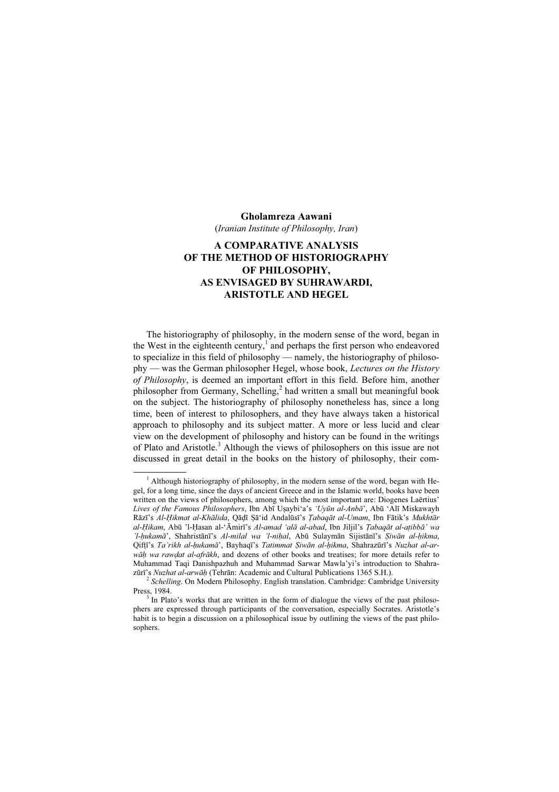## Gholamreza Aawani

(Iranian Institute of Philosophy, Iran)

## A COMPARATIVE ANALYSIS OF THE METHOD OF HISTORIOGRAPHY OF PHILOSOPHY, AS ENVISAGED BY SUHRAWARDI, ARISTOTLE AND HEGEL

The historiography of philosophy, in the modern sense of the word, began in the West in the eighteenth century,<sup>1</sup> and perhaps the first person who endeavored to specialize in this field of philosophy — namely, the historiography of philosophy — was the German philosopher Hegel, whose book, Lectures on the History of Philosophy, is deemed an important effort in this field. Before him, another philosopher from Germany, Schelling,<sup>2</sup> had written a small but meaningful book on the subject. The historiography of philosophy nonetheless has, since a long time, been of interest to philosophers, and they have always taken a historical approach to philosophy and its subject matter. A more or less lucid and clear view on the development of philosophy and history can be found in the writings of Plato and Aristotle.<sup>3</sup> Although the views of philosophers on this issue are not discussed in great detail in the books on the history of philosophy, their com-

 $\frac{1}{1}$  $<sup>1</sup>$  Although historiography of philosophy, in the modern sense of the word, began with He-</sup> gel, for a long time, since the days of ancient Greece and in the Islamic world, books have been written on the views of philosophers, among which the most important are: Diogenes Laërtius' Lives of the Famous Philosophers, Ibn Abī Usaybi'a's 'Uyūn al-Anbā', Abū 'Alī Miskawayh Rāzī's Al-Ḥikmat al-Khālida, Qāḍī Ṣā'id Andalūsī's Ṭabaqāt al-Umam, Ibn Fātik's Mukhtār al-Ḥikam, Abū 'l-Ḥasan al-'Āmirī's Al-amad 'alā al-abad, Ibn Jiljil's Ṭabaqāt al-aṭibbā' wa 'l-hukamā', Shahristānī's Al-milal wa 'l-nihal, Abū Sulaymān Sijistānī's Siwān al-hikma, Qifṭī's Ta'rikh al-ḥukamā', Bayhaqī's Tatimmat Ṣiwān al-ḥikma, Shahrazūrī's Nuzhat al-arwāh wa rawdat al-afrākh, and dozens of other books and treatises; for more details refer to Muhammad Taqi Danishpazhuh and Muhammad Sarwar Mawla'yi's introduction to Shahrazūrī's Nuzhat al-arwāḥ (Tehrān: Academic and Cultural Publications 1365 S.H.).<br><sup>2</sup> Schelling. On Modern Philosophy. English translation. Cambridge: Cambridge University

Press, 1984.

 $3$  In Plato's works that are written in the form of dialogue the views of the past philosophers are expressed through participants of the conversation, especially Socrates. Aristotle's habit is to begin a discussion on a philosophical issue by outlining the views of the past philosophers.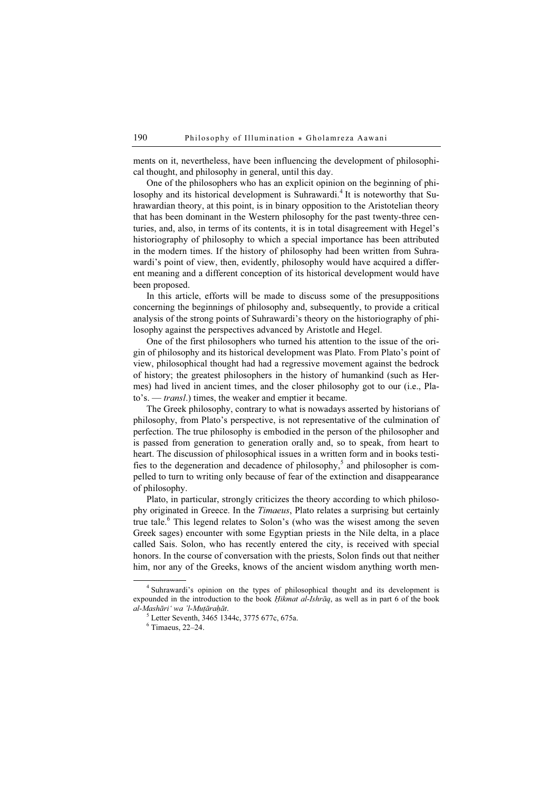ments on it, nevertheless, have been influencing the development of philosophical thought, and philosophy in general, until this day.

One of the philosophers who has an explicit opinion on the beginning of philosophy and its historical development is Suhrawardi.<sup>4</sup> It is noteworthy that Suhrawardian theory, at this point, is in binary opposition to the Aristotelian theory that has been dominant in the Western philosophy for the past twenty-three centuries, and, also, in terms of its contents, it is in total disagreement with Hegel's historiography of philosophy to which a special importance has been attributed in the modern times. If the history of philosophy had been written from Suhrawardi's point of view, then, evidently, philosophy would have acquired a different meaning and a different conception of its historical development would have been proposed.

In this article, efforts will be made to discuss some of the presuppositions concerning the beginnings of philosophy and, subsequently, to provide a critical analysis of the strong points of Suhrawardi's theory on the historiography of philosophy against the perspectives advanced by Aristotle and Hegel.

One of the first philosophers who turned his attention to the issue of the origin of philosophy and its historical development was Plato. From Plato's point of view, philosophical thought had had a regressive movement against the bedrock of history; the greatest philosophers in the history of humankind (such as Hermes) had lived in ancient times, and the closer philosophy got to our (i.e., Plato's. — transl.) times, the weaker and emptier it became.

The Greek philosophy, contrary to what is nowadays asserted by historians of philosophy, from Plato's perspective, is not representative of the culmination of perfection. The true philosophy is embodied in the person of the philosopher and is passed from generation to generation orally and, so to speak, from heart to heart. The discussion of philosophical issues in a written form and in books testifies to the degeneration and decadence of philosophy,<sup>5</sup> and philosopher is compelled to turn to writing only because of fear of the extinction and disappearance of philosophy.

Plato, in particular, strongly criticizes the theory according to which philosophy originated in Greece. In the Timaeus, Plato relates a surprising but certainly true tale.<sup>6</sup> This legend relates to Solon's (who was the wisest among the seven Greek sages) encounter with some Egyptian priests in the Nile delta, in a place called Sais. Solon, who has recently entered the city, is received with special honors. In the course of conversation with the priests, Solon finds out that neither him, nor any of the Greeks, knows of the ancient wisdom anything worth men-

 $\frac{1}{4}$ <sup>4</sup> Suhrawardi's opinion on the types of philosophical thought and its development is expounded in the introduction to the book *Hikmat al-Ishrāq*, as well as in part 6 of the book al-Mashāri' wa 'l-Muṭāraḥāt. <sup>5</sup>

<sup>&</sup>lt;sup>5</sup> Letter Seventh, 3465 1344c, 3775 677c, 675a.

 $6$  Timaeus, 22–24.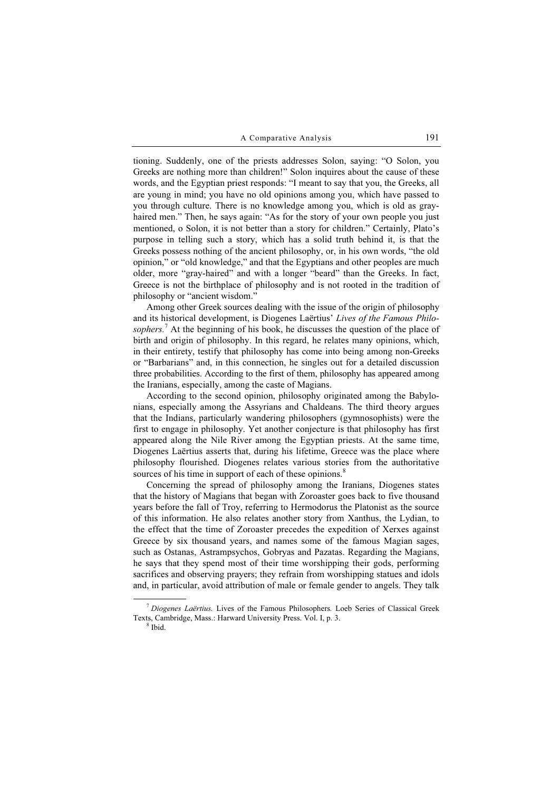tioning. Suddenly, one of the priests addresses Solon, saying: "O Solon, you Greeks are nothing more than children!" Solon inquires about the cause of these words, and the Egyptian priest responds: "I meant to say that you, the Greeks, all are young in mind; you have no old opinions among you, which have passed to you through culture. There is no knowledge among you, which is old as grayhaired men." Then, he says again: "As for the story of your own people you just mentioned, o Solon, it is not better than a story for children." Certainly, Plato's purpose in telling such a story, which has a solid truth behind it, is that the Greeks possess nothing of the ancient philosophy, or, in his own words, "the old opinion," or "old knowledge," and that the Egyptians and other peoples are much older, more "gray-haired" and with a longer "beard" than the Greeks. In fact, Greece is not the birthplace of philosophy and is not rooted in the tradition of philosophy or "ancient wisdom."

Among other Greek sources dealing with the issue of the origin of philosophy and its historical development, is Diogenes Laërtius' Lives of the Famous Philosophers.<sup>7</sup> At the beginning of his book, he discusses the question of the place of birth and origin of philosophy. In this regard, he relates many opinions, which, in their entirety, testify that philosophy has come into being among non-Greeks or "Barbarians" and, in this connection, he singles out for a detailed discussion three probabilities. According to the first of them, philosophy has appeared among the Iranians, especially, among the caste of Magians.

According to the second opinion, philosophy originated among the Babylonians, especially among the Assyrians and Chaldeans. The third theory argues that the Indians, particularly wandering philosophers (gymnosophists) were the first to engage in philosophy. Yet another conjecture is that philosophy has first appeared along the Nile River among the Egyptian priests. At the same time, Diogenes Laërtius asserts that, during his lifetime, Greece was the place where philosophy flourished. Diogenes relates various stories from the authoritative sources of his time in support of each of these opinions. $8$ 

Concerning the spread of philosophy among the Iranians, Diogenes states that the history of Magians that began with Zoroaster goes back to five thousand years before the fall of Troy, referring to Hermodorus the Platonist as the source of this information. He also relates another story from Xanthus, the Lydian, to the effect that the time of Zoroaster precedes the expedition of Xerxes against Greece by six thousand years, and names some of the famous Magian sages, such as Ostanas, Astrampsychos, Gobryas and Pazatas. Regarding the Magians, he says that they spend most of their time worshipping their gods, performing sacrifices and observing prayers; they refrain from worshipping statues and idols and, in particular, avoid attribution of male or female gender to angels. They talk

 $<sup>7</sup> Diogenes Laërtius. Lives of the Famous Philosophers. Loeb Series of Classical Greek$ </sup> Texts, Cambridge, Mass.: Harward University Press. Vol. I, p. 3.

 $8$  Ibid.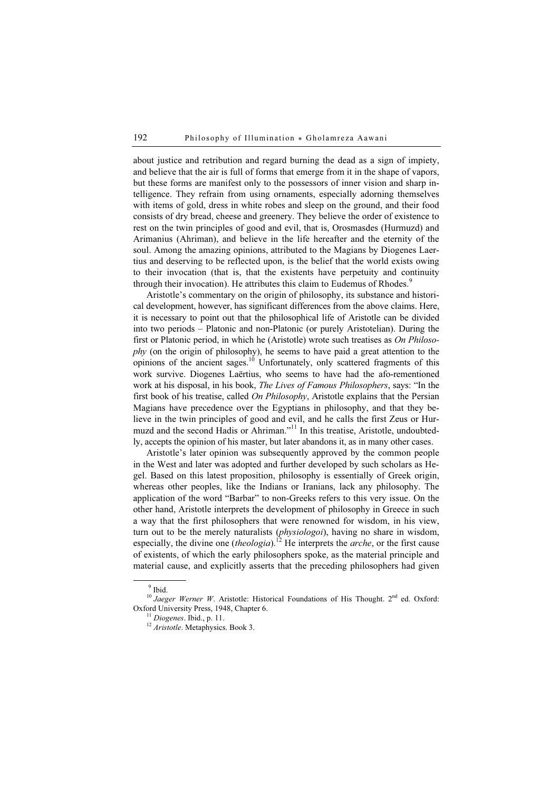about justice and retribution and regard burning the dead as a sign of impiety, and believe that the air is full of forms that emerge from it in the shape of vapors, but these forms are manifest only to the possessors of inner vision and sharp intelligence. They refrain from using ornaments, especially adorning themselves with items of gold, dress in white robes and sleep on the ground, and their food consists of dry bread, cheese and greenery. They believe the order of existence to rest on the twin principles of good and evil, that is, Orosmasdes (Hurmuzd) and Arimanius (Ahriman), and believe in the life hereafter and the eternity of the soul. Among the amazing opinions, attributed to the Magians by Diogenes Laertius and deserving to be reflected upon, is the belief that the world exists owing to their invocation (that is, that the existents have perpetuity and continuity through their invocation). He attributes this claim to Eudemus of Rhodes.<sup>9</sup>

Aristotle's commentary on the origin of philosophy, its substance and historical development, however, has significant differences from the above claims. Here, it is necessary to point out that the philosophical life of Aristotle can be divided into two periods – Platonic and non-Platonic (or purely Aristotelian). During the first or Platonic period, in which he (Aristotle) wrote such treatises as On Philosophy (on the origin of philosophy), he seems to have paid a great attention to the opinions of the ancient sages.<sup>10</sup> Unfortunately, only scattered fragments of this work survive. Diogenes Laёrtius, who seems to have had the afo-rementioned work at his disposal, in his book, The Lives of Famous Philosophers, says: "In the first book of his treatise, called On Philosophy, Aristotle explains that the Persian Magians have precedence over the Egyptians in philosophy, and that they believe in the twin principles of good and evil, and he calls the first Zeus or Hurmuzd and the second Hadis or Ahriman."<sup>11</sup> In this treatise, Aristotle, undoubtedly, accepts the opinion of his master, but later abandons it, as in many other cases.

Aristotle's later opinion was subsequently approved by the common people in the West and later was adopted and further developed by such scholars as Hegel. Based on this latest proposition, philosophy is essentially of Greek origin, whereas other peoples, like the Indians or Iranians, lack any philosophy. The application of the word "Barbar" to non-Greeks refers to this very issue. On the other hand, Aristotle interprets the development of philosophy in Greece in such a way that the first philosophers that were renowned for wisdom, in his view, turn out to be the merely naturalists (physiologoi), having no share in wisdom, especially, the divine one (theologia).<sup>12</sup> He interprets the *arche*, or the first cause of existents, of which the early philosophers spoke, as the material principle and material cause, and explicitly asserts that the preceding philosophers had given

 $\frac{1}{9}$  $9$  Ibid.

<sup>&</sup>lt;sup>10</sup> Jaeger Werner W. Aristotle: Historical Foundations of His Thought.  $2<sup>nd</sup>$  ed. Oxford: Oxford University Press, 1948, Chapter 6.

 $\frac{11}{12} Diogenes$ . Ibid., p. 11.<br> $\frac{12}{12} Aristote$ . Metaphysics. Book 3.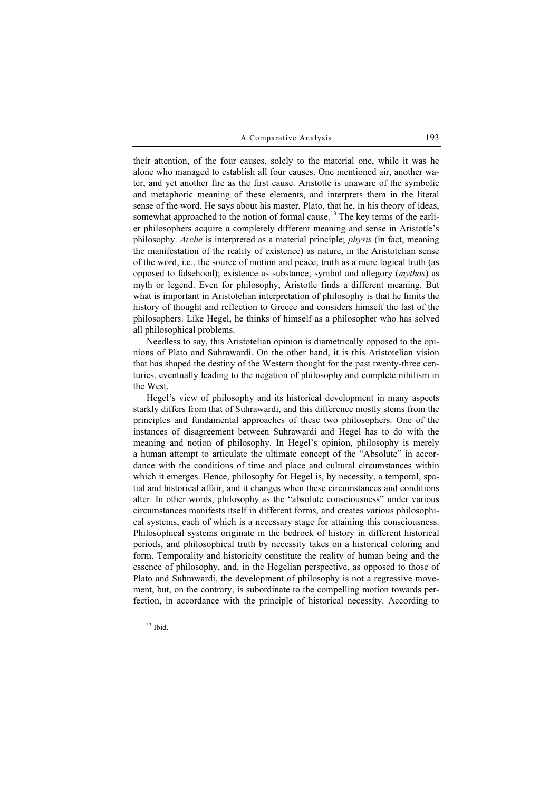their attention, of the four causes, solely to the material one, while it was he alone who managed to establish all four causes. One mentioned air, another water, and yet another fire as the first cause. Aristotle is unaware of the symbolic and metaphoric meaning of these elements, and interprets them in the literal sense of the word. He says about his master, Plato, that he, in his theory of ideas, somewhat approached to the notion of formal cause.<sup>13</sup> The key terms of the earlier philosophers acquire a completely different meaning and sense in Aristotle's philosophy. Arche is interpreted as a material principle; physis (in fact, meaning the manifestation of the reality of existence) as nature, in the Aristotelian sense of the word, i.e., the source of motion and peace; truth as a mere logical truth (as opposed to falsehood); existence as substance; symbol and allegory (mythos) as myth or legend. Even for philosophy, Aristotle finds a different meaning. But what is important in Aristotelian interpretation of philosophy is that he limits the history of thought and reflection to Greece and considers himself the last of the philosophers. Like Hegel, he thinks of himself as a philosopher who has solved all philosophical problems.

Needless to say, this Aristotelian opinion is diametrically opposed to the opinions of Plato and Suhrawardi. On the other hand, it is this Aristotelian vision that has shaped the destiny of the Western thought for the past twenty-three centuries, eventually leading to the negation of philosophy and complete nihilism in the West.

Hegel's view of philosophy and its historical development in many aspects starkly differs from that of Suhrawardi, and this difference mostly stems from the principles and fundamental approaches of these two philosophers. One of the instances of disagreement between Suhrawardi and Hegel has to do with the meaning and notion of philosophy. In Hegel's opinion, philosophy is merely a human attempt to articulate the ultimate concept of the "Absolute" in accordance with the conditions of time and place and cultural circumstances within which it emerges. Hence, philosophy for Hegel is, by necessity, a temporal, spatial and historical affair, and it changes when these circumstances and conditions alter. In other words, philosophy as the "absolute consciousness" under various circumstances manifests itself in different forms, and creates various philosophical systems, each of which is a necessary stage for attaining this consciousness. Philosophical systems originate in the bedrock of history in different historical periods, and philosophical truth by necessity takes on a historical coloring and form. Temporality and historicity constitute the reality of human being and the essence of philosophy, and, in the Hegelian perspective, as opposed to those of Plato and Suhrawardi, the development of philosophy is not a regressive movement, but, on the contrary, is subordinate to the compelling motion towards perfection, in accordance with the principle of historical necessity. According to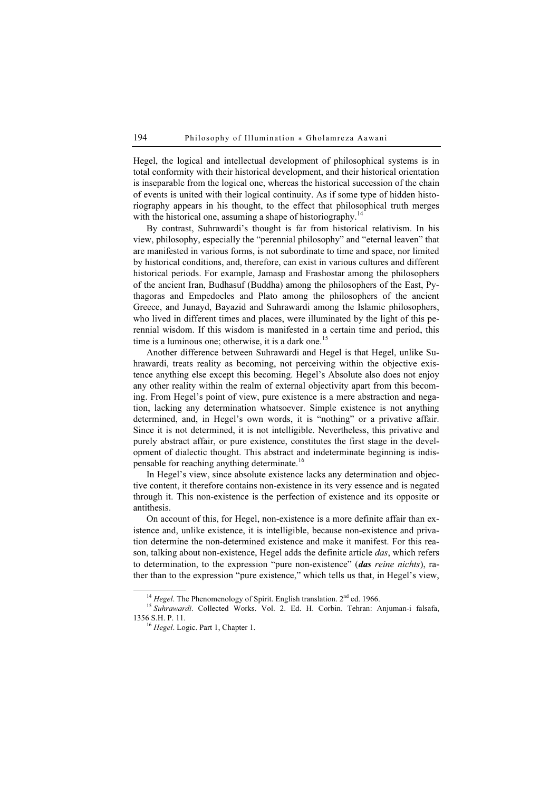Hegel, the logical and intellectual development of philosophical systems is in total conformity with their historical development, and their historical orientation is inseparable from the logical one, whereas the historical succession of the chain of events is united with their logical continuity. As if some type of hidden historiography appears in his thought, to the effect that philosophical truth merges with the historical one, assuming a shape of historiography.<sup>14</sup>

By contrast, Suhrawardi's thought is far from historical relativism. In his view, philosophy, especially the "perennial philosophy" and "eternal leaven" that are manifested in various forms, is not subordinate to time and space, nor limited by historical conditions, and, therefore, can exist in various cultures and different historical periods. For example, Jamasp and Frashostar among the philosophers of the ancient Iran, Budhasuf (Buddha) among the philosophers of the East, Pythagoras and Empedocles and Plato among the philosophers of the ancient Greece, and Junayd, Bayazid and Suhrawardi among the Islamic philosophers, who lived in different times and places, were illuminated by the light of this perennial wisdom. If this wisdom is manifested in a certain time and period, this time is a luminous one; otherwise, it is a dark one.<sup>15</sup>

Another difference between Suhrawardi and Hegel is that Hegel, unlike Suhrawardi, treats reality as becoming, not perceiving within the objective existence anything else except this becoming. Hegel's Absolute also does not enjoy any other reality within the realm of external objectivity apart from this becoming. From Hegel's point of view, pure existence is a mere abstraction and negation, lacking any determination whatsoever. Simple existence is not anything determined, and, in Hegel's own words, it is "nothing" or a privative affair. Since it is not determined, it is not intelligible. Nevertheless, this privative and purely abstract affair, or pure existence, constitutes the first stage in the development of dialectic thought. This abstract and indeterminate beginning is indispensable for reaching anything determinate.<sup>16</sup>

In Hegel's view, since absolute existence lacks any determination and objective content, it therefore contains non-existence in its very essence and is negated through it. This non-existence is the perfection of existence and its opposite or antithesis.

On account of this, for Hegel, non-existence is a more definite affair than existence and, unlike existence, it is intelligible, because non-existence and privation determine the non-determined existence and make it manifest. For this reason, talking about non-existence, Hegel adds the definite article *das*, which refers to determination, to the expression "pure non-existence" (das reine nichts), rather than to the expression "pure existence," which tells us that, in Hegel's view,

<sup>&</sup>lt;sup>14</sup> Hegel. The Phenomenology of Spirit. English translation.  $2<sup>nd</sup>$  ed. 1966.<br><sup>15</sup> Suhrawardi. Collected Works. Vol. 2. Ed. H. Corbin. Tehran: Anjuman-i falsafa, 1356 S.H. P. 11.<br><sup>16</sup> Hegel. Logic. Part 1, Chapter 1.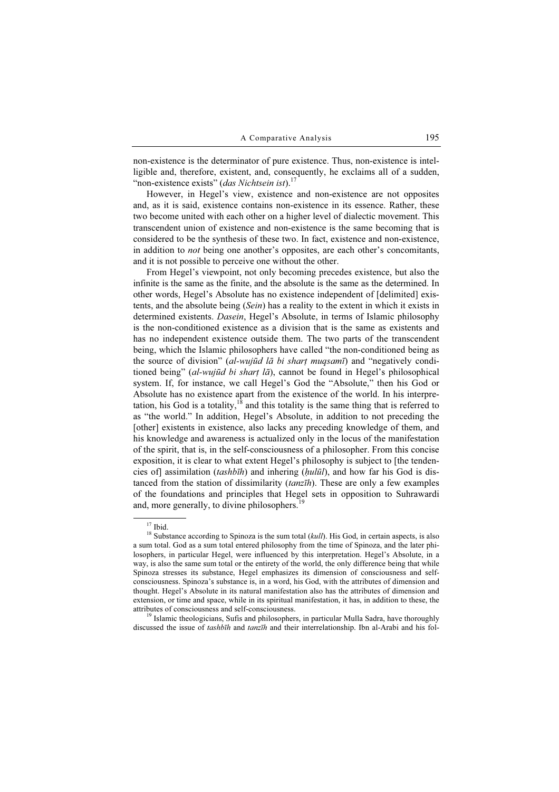non-existence is the determinator of pure existence. Thus, non-existence is intelligible and, therefore, existent, and, consequently, he exclaims all of a sudden, "non-existence exists" (das Nichtsein ist). $17$ 

However, in Hegel's view, existence and non-existence are not opposites and, as it is said, existence contains non-existence in its essence. Rather, these two become united with each other on a higher level of dialectic movement. This transcendent union of existence and non-existence is the same becoming that is considered to be the synthesis of these two. In fact, existence and non-existence, in addition to not being one another's opposites, are each other's concomitants, and it is not possible to perceive one without the other.

From Hegel's viewpoint, not only becoming precedes existence, but also the infinite is the same as the finite, and the absolute is the same as the determined. In other words, Hegel's Absolute has no existence independent of [delimited] existents, and the absolute being (Sein) has a reality to the extent in which it exists in determined existents. *Dasein*, Hegel's Absolute, in terms of Islamic philosophy is the non-conditioned existence as a division that is the same as existents and has no independent existence outside them. The two parts of the transcendent being, which the Islamic philosophers have called "the non-conditioned being as the source of division" (al-wujūd lā bi shart muqsamī) and "negatively conditioned being" (al-wujūd bi shart  $l\bar{a}$ ), cannot be found in Hegel's philosophical system. If, for instance, we call Hegel's God the "Absolute," then his God or Absolute has no existence apart from the existence of the world. In his interpretation, his God is a totality,<sup>18</sup> and this totality is the same thing that is referred to as "the world." In addition, Hegel's Absolute, in addition to not preceding the [other] existents in existence, also lacks any preceding knowledge of them, and his knowledge and awareness is actualized only in the locus of the manifestation of the spirit, that is, in the self-consciousness of a philosopher. From this concise exposition, it is clear to what extent Hegel's philosophy is subject to [the tendencies of] assimilation (tashbīh) and inhering ( $hulūl$ ), and how far his God is distanced from the station of dissimilarity *(tanzīh)*. These are only a few examples of the foundations and principles that Hegel sets in opposition to Suhrawardi and, more generally, to divine philosophers. $19$ 

<sup>19</sup> Islamic theologicians, Sufis and philosophers, in particular Mulla Sadra, have thoroughly discussed the issue of *tashbīh* and *tanzīh* and their interrelationship. Ibn al-Arabi and his fol-

 $17$  Ibid.

<sup>&</sup>lt;sup>18</sup> Substance according to Spinoza is the sum total  $(kull)$ . His God, in certain aspects, is also a sum total. God as a sum total entered philosophy from the time of Spinoza, and the later philosophers, in particular Hegel, were influenced by this interpretation. Hegel's Absolute, in a way, is also the same sum total or the entirety of the world, the only difference being that while Spinoza stresses its substance, Hegel emphasizes its dimension of consciousness and selfconsciousness. Spinoza's substance is, in a word, his God, with the attributes of dimension and thought. Hegel's Absolute in its natural manifestation also has the attributes of dimension and extension, or time and space, while in its spiritual manifestation, it has, in addition to these, the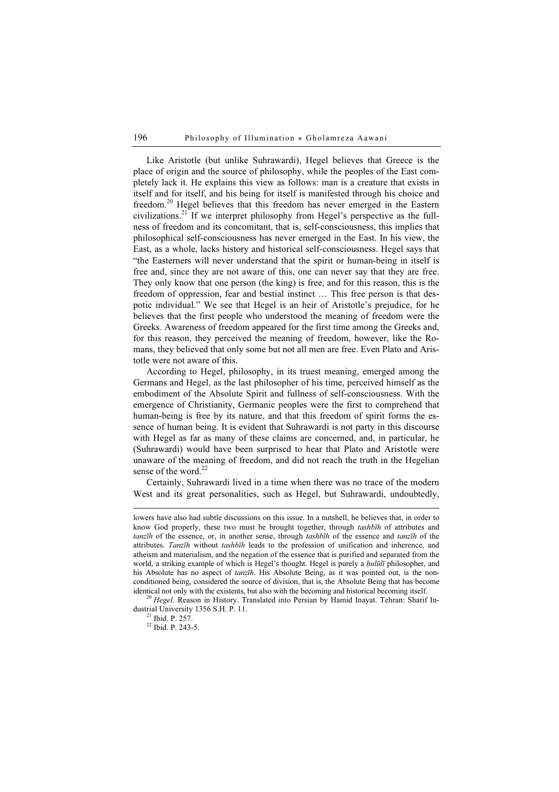Like Aristotle (but unlike Suhrawardi), Hegel believes that Greece is the place of origin and the source of philosophy, while the peoples of the East completely lack it. He explains this view as follows: man is a creature that exists in itself and for itself, and his being for itself is manifested through his choice and freedom.<sup>20</sup> Hegel believes that this freedom has never emerged in the Eastern civilizations.<sup>21</sup> If we interpret philosophy from Hegel's perspective as the fullness of freedom and its concomitant, that is, self-consciousness, this implies that philosophical self-consciousness has never emerged in the East. In his view, the East, as a whole, lacks history and historical self-consciousness. Hegel says that "the Easterners will never understand that the spirit or human-being in itself is free and, since they are not aware of this, one can never say that they are free. They only know that one person (the king) is free, and for this reason, this is the freedom of oppression, fear and bestial instinct … This free person is that despotic individual." We see that Hegel is an heir of Aristotle's prejudice, for he believes that the first people who understood the meaning of freedom were the Greeks. Awareness of freedom appeared for the first time among the Greeks and, for this reason, they perceived the meaning of freedom, however, like the Romans, they believed that only some but not all men are free. Even Plato and Aristotle were not aware of this.

According to Hegel, philosophy, in its truest meaning, emerged among the Germans and Hegel, as the last philosopher of his time, perceived himself as the embodiment of the Absolute Spirit and fullness of self-consciousness. With the emergence of Christianity, Germanic peoples were the first to comprehend that human-being is free by its nature, and that this freedom of spirit forms the essence of human being. It is evident that Suhrawardi is not party in this discourse with Hegel as far as many of these claims are concerned, and, in particular, he (Suhrawardi) would have been surprised to hear that Plato and Aristotle were unaware of the meaning of freedom, and did not reach the truth in the Hegelian sense of the word.<sup>22</sup>

Certainly, Suhrawardi lived in a time when there was no trace of the modern West and its great personalities, such as Hegel, but Suhrawardi, undoubtedly,

 $10^{20}$  Hegel. Reason in History. Translated into Persian by Hamid Inayat. Tehran: Sharif Industrial University 1356 S.H. P. 11.<br><sup>21</sup> Ibid. P. 257.

<sup>22</sup> Ibid. P. 243-5.

lowers have also had subtle discussions on this issue. In a nutshell, he believes that, in order to know God properly, these two must be brought together, through tashbīh of attributes and tanzīh of the essence, or, in another sense, through tashbīh of the essence and tanzīh of the attributes. Tanzīh without tashbīh leads to the profession of unification and inherence, and atheism and materialism, and the negation of the essence that is purified and separated from the world, a striking example of which is Hegel's thought. Hegel is purely a *hulūlī* philosopher, and his Absolute has no aspect of *tanzih*. His Absolute Being, as it was pointed out, is the nonconditioned being, considered the source of division, that is, the Absolute Being that has become identical not only with the existents, but also with the becoming and historical becoming itself.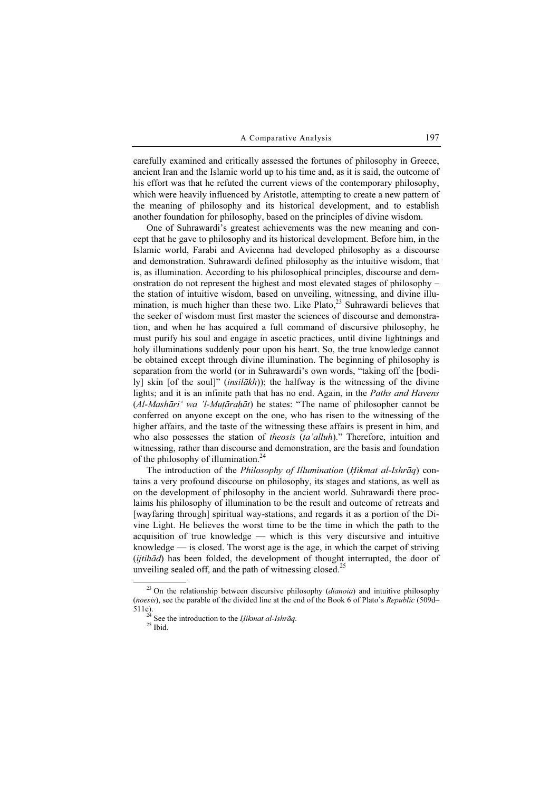carefully examined and critically assessed the fortunes of philosophy in Greece, ancient Iran and the Islamic world up to his time and, as it is said, the outcome of his effort was that he refuted the current views of the contemporary philosophy, which were heavily influenced by Aristotle, attempting to create a new pattern of the meaning of philosophy and its historical development, and to establish another foundation for philosophy, based on the principles of divine wisdom.

One of Suhrawardi's greatest achievements was the new meaning and concept that he gave to philosophy and its historical development. Before him, in the Islamic world, Farabi and Avicenna had developed philosophy as a discourse and demonstration. Suhrawardi defined philosophy as the intuitive wisdom, that is, as illumination. According to his philosophical principles, discourse and demonstration do not represent the highest and most elevated stages of philosophy – the station of intuitive wisdom, based on unveiling, witnessing, and divine illumination, is much higher than these two. Like Plato,<sup>23</sup> Suhrawardi believes that the seeker of wisdom must first master the sciences of discourse and demonstration, and when he has acquired a full command of discursive philosophy, he must purify his soul and engage in ascetic practices, until divine lightnings and holy illuminations suddenly pour upon his heart. So, the true knowledge cannot be obtained except through divine illumination. The beginning of philosophy is separation from the world (or in Suhrawardi's own words, "taking off the [bodily] skin [of the soul]" (*insilākh*)); the halfway is the witnessing of the divine lights; and it is an infinite path that has no end. Again, in the Paths and Havens (Al-Mashāri' wa 'l-Muṭāraḥāt) he states: "The name of philosopher cannot be conferred on anyone except on the one, who has risen to the witnessing of the higher affairs, and the taste of the witnessing these affairs is present in him, and who also possesses the station of *theosis* (ta'alluh)." Therefore, intuition and witnessing, rather than discourse and demonstration, are the basis and foundation of the philosophy of illumination.<sup>24</sup>

The introduction of the Philosophy of Illumination (Hikmat al-Ishrāq) contains a very profound discourse on philosophy, its stages and stations, as well as on the development of philosophy in the ancient world. Suhrawardi there proclaims his philosophy of illumination to be the result and outcome of retreats and [wayfaring through] spiritual way-stations, and regards it as a portion of the Divine Light. He believes the worst time to be the time in which the path to the acquisition of true knowledge — which is this very discursive and intuitive knowledge — is closed. The worst age is the age, in which the carpet of striving (ijtihād) has been folded, the development of thought interrupted, the door of unveiling sealed off, and the path of witnessing closed.<sup>25</sup>

<sup>&</sup>lt;sup>23</sup> On the relationship between discursive philosophy (*dianoia*) and intuitive philosophy (noesis), see the parable of the divided line at the end of the Book 6 of Plato's Republic (509d– 511e). <sup>24</sup> See the introduction to the *Hikmat al-Ishrāq*.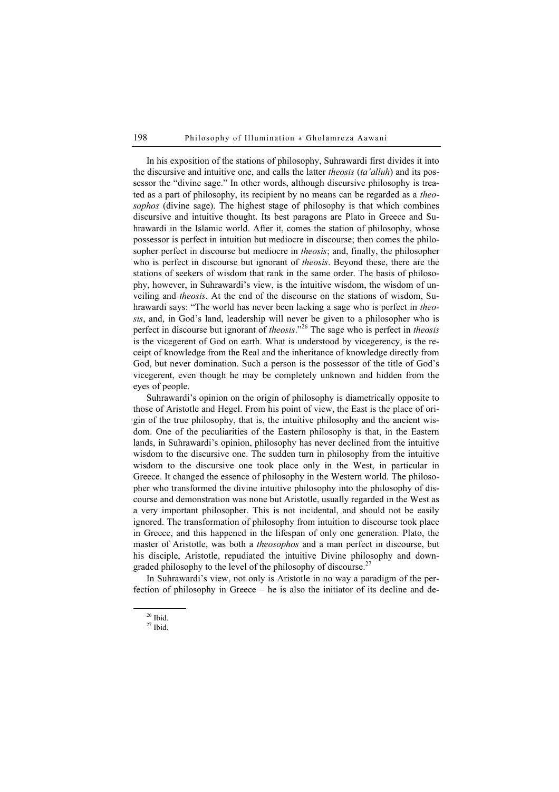In his exposition of the stations of philosophy, Suhrawardi first divides it into the discursive and intuitive one, and calls the latter *theosis* (ta'alluh) and its possessor the "divine sage." In other words, although discursive philosophy is treated as a part of philosophy, its recipient by no means can be regarded as a theosophos (divine sage). The highest stage of philosophy is that which combines discursive and intuitive thought. Its best paragons are Plato in Greece and Suhrawardi in the Islamic world. After it, comes the station of philosophy, whose possessor is perfect in intuition but mediocre in discourse; then comes the philosopher perfect in discourse but mediocre in *theosis*; and, finally, the philosopher who is perfect in discourse but ignorant of *theosis*. Beyond these, there are the stations of seekers of wisdom that rank in the same order. The basis of philosophy, however, in Suhrawardi's view, is the intuitive wisdom, the wisdom of unveiling and theosis. At the end of the discourse on the stations of wisdom, Suhrawardi says: "The world has never been lacking a sage who is perfect in theosis, and, in God's land, leadership will never be given to a philosopher who is perfect in discourse but ignorant of *theosis*."<sup>26</sup> The sage who is perfect in *theosis* is the vicegerent of God on earth. What is understood by vicegerency, is the receipt of knowledge from the Real and the inheritance of knowledge directly from God, but never domination. Such a person is the possessor of the title of God's vicegerent, even though he may be completely unknown and hidden from the eyes of people.

Suhrawardi's opinion on the origin of philosophy is diametrically opposite to those of Aristotle and Hegel. From his point of view, the East is the place of origin of the true philosophy, that is, the intuitive philosophy and the ancient wisdom. One of the peculiarities of the Eastern philosophy is that, in the Eastern lands, in Suhrawardi's opinion, philosophy has never declined from the intuitive wisdom to the discursive one. The sudden turn in philosophy from the intuitive wisdom to the discursive one took place only in the West, in particular in Greece. It changed the essence of philosophy in the Western world. The philosopher who transformed the divine intuitive philosophy into the philosophy of discourse and demonstration was none but Aristotle, usually regarded in the West as a very important philosopher. This is not incidental, and should not be easily ignored. The transformation of philosophy from intuition to discourse took place in Greece, and this happened in the lifespan of only one generation. Plato, the master of Aristotle, was both a theosophos and a man perfect in discourse, but his disciple, Aristotle, repudiated the intuitive Divine philosophy and downgraded philosophy to the level of the philosophy of discourse.<sup>27</sup>

In Suhrawardi's view, not only is Aristotle in no way a paradigm of the perfection of philosophy in Greece – he is also the initiator of its decline and de-

 $26$  Ibid.

 $27$  Ibid.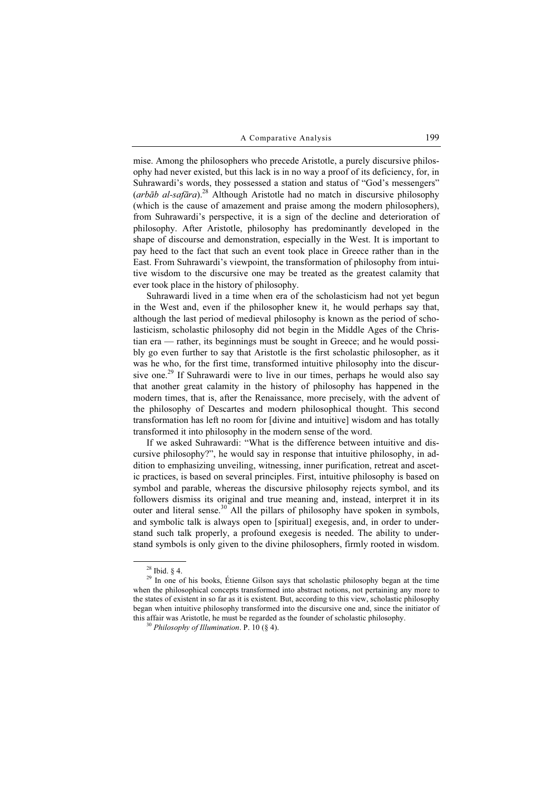mise. Among the philosophers who precede Aristotle, a purely discursive philosophy had never existed, but this lack is in no way a proof of its deficiency, for, in Suhrawardi's words, they possessed a station and status of "God's messengers" (arbāb al-safāra).<sup>28</sup> Although Aristotle had no match in discursive philosophy (which is the cause of amazement and praise among the modern philosophers), from Suhrawardi's perspective, it is a sign of the decline and deterioration of philosophy. After Aristotle, philosophy has predominantly developed in the shape of discourse and demonstration, especially in the West. It is important to pay heed to the fact that such an event took place in Greece rather than in the East. From Suhrawardi's viewpoint, the transformation of philosophy from intuitive wisdom to the discursive one may be treated as the greatest calamity that ever took place in the history of philosophy.

Suhrawardi lived in a time when era of the scholasticism had not yet begun in the West and, even if the philosopher knew it, he would perhaps say that, although the last period of medieval philosophy is known as the period of scholasticism, scholastic philosophy did not begin in the Middle Ages of the Christian era — rather, its beginnings must be sought in Greece; and he would possibly go even further to say that Aristotle is the first scholastic philosopher, as it was he who, for the first time, transformed intuitive philosophy into the discursive one.<sup>29</sup> If Suhrawardi were to live in our times, perhaps he would also say that another great calamity in the history of philosophy has happened in the modern times, that is, after the Renaissance, more precisely, with the advent of the philosophy of Descartes and modern philosophical thought. This second transformation has left no room for [divine and intuitive] wisdom and has totally transformed it into philosophy in the modern sense of the word.

If we asked Suhrawardi: "What is the difference between intuitive and discursive philosophy?", he would say in response that intuitive philosophy, in addition to emphasizing unveiling, witnessing, inner purification, retreat and ascetic practices, is based on several principles. First, intuitive philosophy is based on symbol and parable, whereas the discursive philosophy rejects symbol, and its followers dismiss its original and true meaning and, instead, interpret it in its outer and literal sense.<sup>30</sup> All the pillars of philosophy have spoken in symbols, and symbolic talk is always open to [spiritual] exegesis, and, in order to understand such talk properly, a profound exegesis is needed. The ability to understand symbols is only given to the divine philosophers, firmly rooted in wisdom.

 $28$  Ibid. § 4.

<sup>&</sup>lt;sup>29</sup> In one of his books, Étienne Gilson says that scholastic philosophy began at the time when the philosophical concepts transformed into abstract notions, not pertaining any more to the states of existent in so far as it is existent. But, according to this view, scholastic philosophy began when intuitive philosophy transformed into the discursive one and, since the initiator of this affair was Aristotle, he must be regarded as the founder of scholastic philosophy.<br><sup>30</sup> Philosophy of Illumination. P. 10 (§ 4).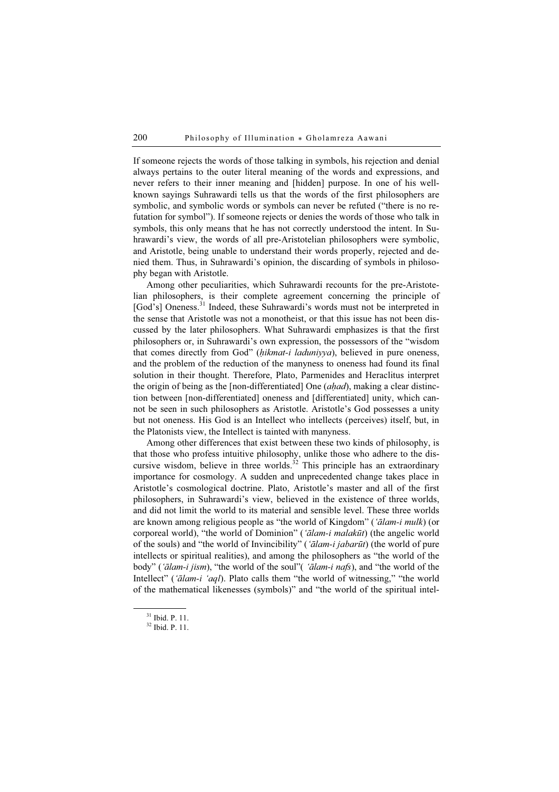If someone rejects the words of those talking in symbols, his rejection and denial always pertains to the outer literal meaning of the words and expressions, and never refers to their inner meaning and [hidden] purpose. In one of his wellknown sayings Suhrawardi tells us that the words of the first philosophers are symbolic, and symbolic words or symbols can never be refuted ("there is no refutation for symbol"). If someone rejects or denies the words of those who talk in symbols, this only means that he has not correctly understood the intent. In Suhrawardi's view, the words of all pre-Aristotelian philosophers were symbolic, and Aristotle, being unable to understand their words properly, rejected and denied them. Thus, in Suhrawardi's opinion, the discarding of symbols in philosophy began with Aristotle.

Among other peculiarities, which Suhrawardi recounts for the pre-Aristotelian philosophers, is their complete agreement concerning the principle of [God's] Oneness.<sup>31</sup> Indeed, these Suhrawardi's words must not be interpreted in the sense that Aristotle was not a monotheist, or that this issue has not been discussed by the later philosophers. What Suhrawardi emphasizes is that the first philosophers or, in Suhrawardi's own expression, the possessors of the "wisdom that comes directly from God" (hikmat-i laduniyya), believed in pure oneness, and the problem of the reduction of the manyness to oneness had found its final solution in their thought. Therefore, Plato, Parmenides and Heraclitus interpret the origin of being as the [non-differentiated] One (ahad), making a clear distinction between [non-differentiated] oneness and [differentiated] unity, which cannot be seen in such philosophers as Aristotle. Aristotle's God possesses a unity but not oneness. His God is an Intellect who intellects (perceives) itself, but, in the Platonists view, the Intellect is tainted with manyness.

Among other differences that exist between these two kinds of philosophy, is that those who profess intuitive philosophy, unlike those who adhere to the discursive wisdom, believe in three worlds.<sup>32</sup> This principle has an extraordinary importance for cosmology. A sudden and unprecedented change takes place in Aristotle's cosmological doctrine. Plato, Aristotle's master and all of the first philosophers, in Suhrawardi's view, believed in the existence of three worlds, and did not limit the world to its material and sensible level. These three worlds are known among religious people as "the world of Kingdom" ('ālam-i mulk) (or corporeal world), "the world of Dominion" ('ālam-i malakūt) (the angelic world of the souls) and "the world of Invincibility" ('ālam-i jabarūt) (the world of pure intellects or spiritual realities), and among the philosophers as "the world of the body" ('ālam-i jism), "the world of the soul" ('ālam-i nafs), and "the world of the Intellect" ('ālam-i 'aql). Plato calls them "the world of witnessing," "the world of the mathematical likenesses (symbols)" and "the world of the spiritual intel-

<sup>31</sup> Ibid. P. 11.

 $32$  Ibid. P. 11.